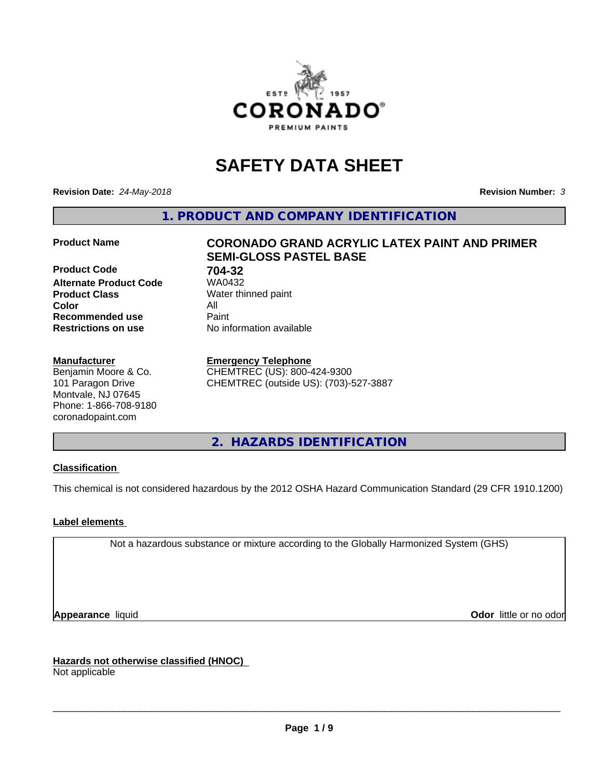

# **SAFETY DATA SHEET**

**Revision Date:** *24-May-2018* **Revision Number:** *3*

**1. PRODUCT AND COMPANY IDENTIFICATION**

**Product Code 61 704-32**<br>**Alternate Product Code 61 704-32 Alternate Product Code Product Class** Water thinned paint<br> **Color** All **Color** All **Recommended use Caint Restrictions on use** No information available

#### **Manufacturer**

Benjamin Moore & Co. 101 Paragon Drive Montvale, NJ 07645 Phone: 1-866-708-9180 coronadopaint.com

## **Product Name CORONADO GRAND ACRYLIC LATEX PAINT AND PRIMER SEMI-GLOSS PASTEL BASE**

#### **Emergency Telephone**

CHEMTREC (US): 800-424-9300 CHEMTREC (outside US): (703)-527-3887

**2. HAZARDS IDENTIFICATION**

#### **Classification**

This chemical is not considered hazardous by the 2012 OSHA Hazard Communication Standard (29 CFR 1910.1200)

#### **Label elements**

Not a hazardous substance or mixture according to the Globally Harmonized System (GHS)

**Appearance** liquid **Contract Contract Contract Contract Contract Contract Contract Contract Contract Contract Contract Contract Contract Contract Contract Contract Contract Contract Contract Contract Contract Contract Con** 

**Hazards not otherwise classified (HNOC)**

Not applicable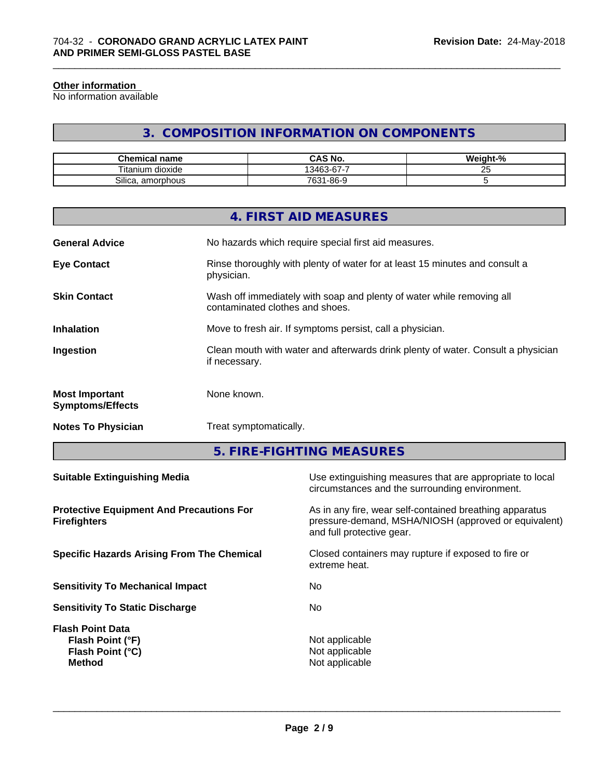#### **Other information**

No information available

## **3. COMPOSITION INFORMATION ON COMPONENTS**

\_\_\_\_\_\_\_\_\_\_\_\_\_\_\_\_\_\_\_\_\_\_\_\_\_\_\_\_\_\_\_\_\_\_\_\_\_\_\_\_\_\_\_\_\_\_\_\_\_\_\_\_\_\_\_\_\_\_\_\_\_\_\_\_\_\_\_\_\_\_\_\_\_\_\_\_\_\_\_\_\_\_\_\_\_\_\_\_\_\_\_\_\_

| <b>Chemical name</b>              | CAS No.<br>r٨                 | <br>$\sim$<br>√eiant-'<br>-70 |
|-----------------------------------|-------------------------------|-------------------------------|
| --<br><br>⊺ıtan<br>dioxide<br>.um | $\sim$<br>-<br>13463<br>3-D7- | --<br><u>_</u>                |
| Silica.<br>. amorphous            | $7631 -$<br>9-86-۱ر           |                               |

|                                                  | 4. FIRST AID MEASURES                                                                                    |
|--------------------------------------------------|----------------------------------------------------------------------------------------------------------|
| <b>General Advice</b>                            | No hazards which require special first aid measures.                                                     |
| <b>Eye Contact</b>                               | Rinse thoroughly with plenty of water for at least 15 minutes and consult a<br>physician.                |
| <b>Skin Contact</b>                              | Wash off immediately with soap and plenty of water while removing all<br>contaminated clothes and shoes. |
| <b>Inhalation</b>                                | Move to fresh air. If symptoms persist, call a physician.                                                |
| Ingestion                                        | Clean mouth with water and afterwards drink plenty of water. Consult a physician<br>if necessary.        |
| <b>Most Important</b><br><b>Symptoms/Effects</b> | None known.                                                                                              |
| <b>Notes To Physician</b>                        | Treat symptomatically.                                                                                   |
|                                                  |                                                                                                          |

**5. FIRE-FIGHTING MEASURES**

| <b>Suitable Extinguishing Media</b>                                              | Use extinguishing measures that are appropriate to local<br>circumstances and the surrounding environment.                                   |
|----------------------------------------------------------------------------------|----------------------------------------------------------------------------------------------------------------------------------------------|
| <b>Protective Equipment And Precautions For</b><br><b>Firefighters</b>           | As in any fire, wear self-contained breathing apparatus<br>pressure-demand, MSHA/NIOSH (approved or equivalent)<br>and full protective gear. |
| <b>Specific Hazards Arising From The Chemical</b>                                | Closed containers may rupture if exposed to fire or<br>extreme heat.                                                                         |
| <b>Sensitivity To Mechanical Impact</b>                                          | No                                                                                                                                           |
| <b>Sensitivity To Static Discharge</b>                                           | No.                                                                                                                                          |
| <b>Flash Point Data</b><br>Flash Point (°F)<br>Flash Point (°C)<br><b>Method</b> | Not applicable<br>Not applicable<br>Not applicable                                                                                           |
|                                                                                  |                                                                                                                                              |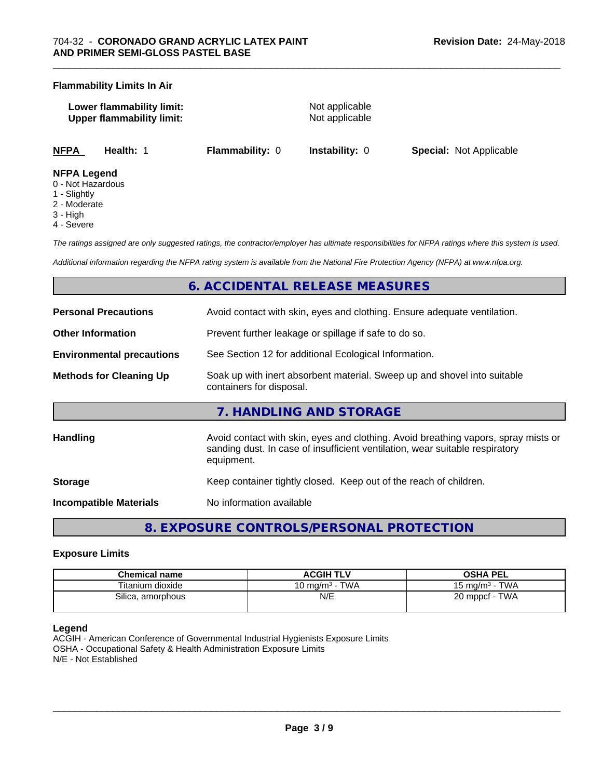#### **Flammability Limits In Air**

| Lower flammability limit:        | Not applicable |
|----------------------------------|----------------|
| <b>Upper flammability limit:</b> | Not applicable |
|                                  |                |

**NFPA Health:** 1 **Flammability:** 0 **Instability:** 0 **Special:** Not Applicable

#### **NFPA Legend**

- 0 Not Hazardous
- 1 Slightly
- 2 Moderate
- 3 High
- 4 Severe

*The ratings assigned are only suggested ratings, the contractor/employer has ultimate responsibilities for NFPA ratings where this system is used.*

*Additional information regarding the NFPA rating system is available from the National Fire Protection Agency (NFPA) at www.nfpa.org.*

## **6. ACCIDENTAL RELEASE MEASURES**

| <b>Personal Precautions</b>                                                               | Avoid contact with skin, eyes and clothing. Ensure adequate ventilation.                                                                                                         |  |  |
|-------------------------------------------------------------------------------------------|----------------------------------------------------------------------------------------------------------------------------------------------------------------------------------|--|--|
| <b>Other Information</b>                                                                  | Prevent further leakage or spillage if safe to do so.                                                                                                                            |  |  |
| See Section 12 for additional Ecological Information.<br><b>Environmental precautions</b> |                                                                                                                                                                                  |  |  |
| <b>Methods for Cleaning Up</b>                                                            | Soak up with inert absorbent material. Sweep up and shovel into suitable<br>containers for disposal.                                                                             |  |  |
|                                                                                           | 7. HANDLING AND STORAGE                                                                                                                                                          |  |  |
| <b>Handling</b>                                                                           | Avoid contact with skin, eyes and clothing. Avoid breathing vapors, spray mists or<br>sanding dust. In case of insufficient ventilation, wear suitable respiratory<br>equipment. |  |  |
| <b>Storage</b>                                                                            | Keep container tightly closed. Keep out of the reach of children.                                                                                                                |  |  |
| Incompatible Materials                                                                    | No information available                                                                                                                                                         |  |  |

**8. EXPOSURE CONTROLS/PERSONAL PROTECTION**

#### **Exposure Limits**

| <b>Chemical name</b> | <b>ACGIH TLV</b>                     | OSHA PEL                            |
|----------------------|--------------------------------------|-------------------------------------|
| Titanium dioxide     | <b>TWA</b><br>10 mg/m <sup>3</sup> - | <b>TWA</b><br>$15 \text{ ma/m}^3$ - |
| Silica, amorphous    | N/E                                  | <b>TWA</b><br>$20$ mppcf -          |

#### **Legend**

ACGIH - American Conference of Governmental Industrial Hygienists Exposure Limits OSHA - Occupational Safety & Health Administration Exposure Limits N/E - Not Established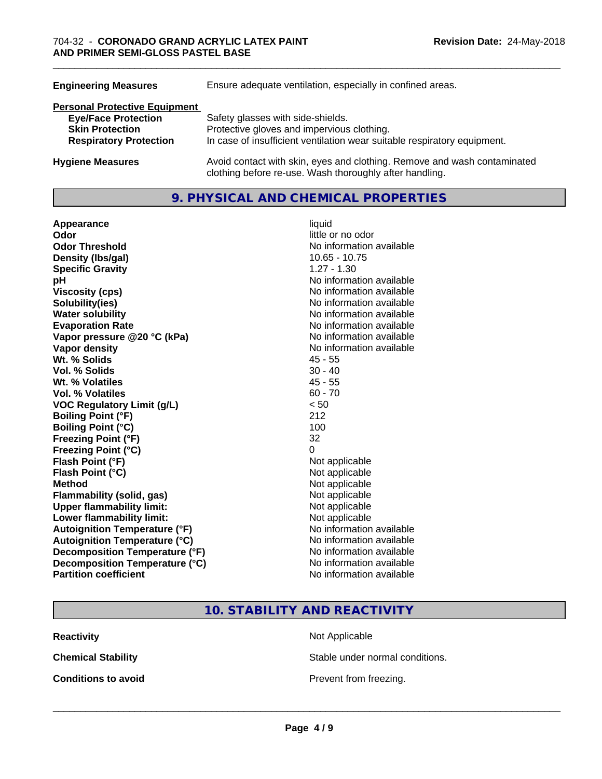| <b>Engineering Measures</b>          | Ensure adequate ventilation, especially in confined areas.                                                                          |  |  |
|--------------------------------------|-------------------------------------------------------------------------------------------------------------------------------------|--|--|
| <b>Personal Protective Equipment</b> |                                                                                                                                     |  |  |
| <b>Eye/Face Protection</b>           | Safety glasses with side-shields.                                                                                                   |  |  |
| <b>Skin Protection</b>               | Protective gloves and impervious clothing.                                                                                          |  |  |
| <b>Respiratory Protection</b>        | In case of insufficient ventilation wear suitable respiratory equipment.                                                            |  |  |
| <b>Hygiene Measures</b>              | Avoid contact with skin, eyes and clothing. Remove and wash contaminated<br>clothing before re-use. Wash thoroughly after handling. |  |  |

### **9. PHYSICAL AND CHEMICAL PROPERTIES**

| Appearance                           | liquid                   |
|--------------------------------------|--------------------------|
| Odor                                 | little or no odor        |
| <b>Odor Threshold</b>                | No information available |
| Density (Ibs/gal)                    | $10.65 - 10.75$          |
| <b>Specific Gravity</b>              | $1.27 - 1.30$            |
| pH                                   | No information available |
| <b>Viscosity (cps)</b>               | No information available |
| Solubility(ies)                      | No information available |
| <b>Water solubility</b>              | No information available |
| <b>Evaporation Rate</b>              | No information available |
| Vapor pressure @20 °C (kPa)          | No information available |
| Vapor density                        | No information available |
| Wt. % Solids                         | $45 - 55$                |
| <b>Vol. % Solids</b>                 | $30 - 40$                |
| Wt. % Volatiles                      | $45 - 55$                |
| <b>Vol. % Volatiles</b>              | $60 - 70$                |
| <b>VOC Regulatory Limit (g/L)</b>    | < 50                     |
| <b>Boiling Point (°F)</b>            | 212                      |
| <b>Boiling Point (°C)</b>            | 100                      |
| <b>Freezing Point (°F)</b>           | 32                       |
| <b>Freezing Point (°C)</b>           | 0                        |
| Flash Point (°F)                     | Not applicable           |
| Flash Point (°C)                     | Not applicable           |
| <b>Method</b>                        | Not applicable           |
| <b>Flammability (solid, gas)</b>     | Not applicable           |
| <b>Upper flammability limit:</b>     | Not applicable           |
| Lower flammability limit:            | Not applicable           |
| <b>Autoignition Temperature (°F)</b> | No information available |
| <b>Autoignition Temperature (°C)</b> | No information available |
| Decomposition Temperature (°F)       | No information available |
| Decomposition Temperature (°C)       | No information available |
| <b>Partition coefficient</b>         | No information available |

**10. STABILITY AND REACTIVITY**

**Reactivity** Not Applicable

**Chemical Stability Stable under normal conditions.** 

**Conditions to avoid Conditions to avoid Prevent from freezing.**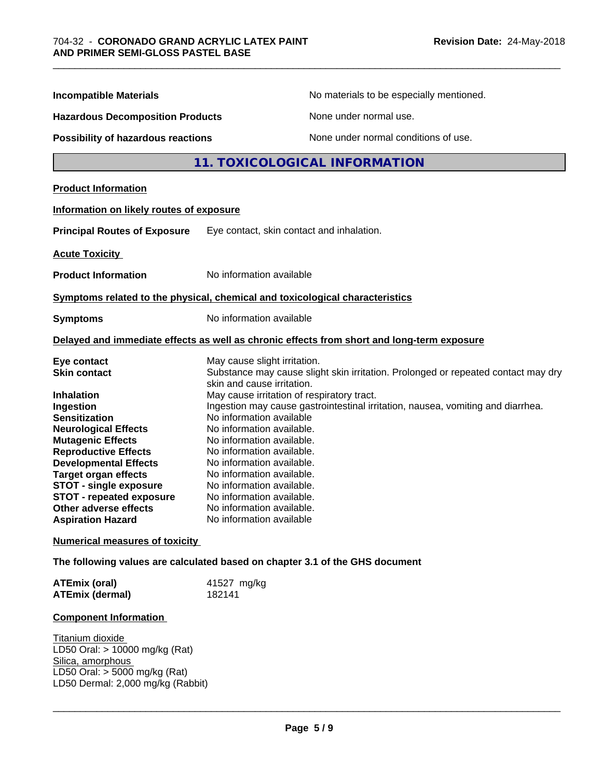| <b>Incompatible Materials</b>                                                                                                                                                                                                                                                                                                                                                  |                                                                                                                                                                                                                                                                                                                                                                                                          | No materials to be especially mentioned.                                                                                                                             |  |
|--------------------------------------------------------------------------------------------------------------------------------------------------------------------------------------------------------------------------------------------------------------------------------------------------------------------------------------------------------------------------------|----------------------------------------------------------------------------------------------------------------------------------------------------------------------------------------------------------------------------------------------------------------------------------------------------------------------------------------------------------------------------------------------------------|----------------------------------------------------------------------------------------------------------------------------------------------------------------------|--|
| <b>Hazardous Decomposition Products</b><br><b>Possibility of hazardous reactions</b>                                                                                                                                                                                                                                                                                           |                                                                                                                                                                                                                                                                                                                                                                                                          | None under normal use.                                                                                                                                               |  |
|                                                                                                                                                                                                                                                                                                                                                                                |                                                                                                                                                                                                                                                                                                                                                                                                          | None under normal conditions of use.                                                                                                                                 |  |
|                                                                                                                                                                                                                                                                                                                                                                                |                                                                                                                                                                                                                                                                                                                                                                                                          | 11. TOXICOLOGICAL INFORMATION                                                                                                                                        |  |
| <b>Product Information</b>                                                                                                                                                                                                                                                                                                                                                     |                                                                                                                                                                                                                                                                                                                                                                                                          |                                                                                                                                                                      |  |
| Information on likely routes of exposure                                                                                                                                                                                                                                                                                                                                       |                                                                                                                                                                                                                                                                                                                                                                                                          |                                                                                                                                                                      |  |
| <b>Principal Routes of Exposure</b>                                                                                                                                                                                                                                                                                                                                            | Eye contact, skin contact and inhalation.                                                                                                                                                                                                                                                                                                                                                                |                                                                                                                                                                      |  |
| <b>Acute Toxicity</b>                                                                                                                                                                                                                                                                                                                                                          |                                                                                                                                                                                                                                                                                                                                                                                                          |                                                                                                                                                                      |  |
| <b>Product Information</b>                                                                                                                                                                                                                                                                                                                                                     | No information available                                                                                                                                                                                                                                                                                                                                                                                 |                                                                                                                                                                      |  |
| Symptoms related to the physical, chemical and toxicological characteristics                                                                                                                                                                                                                                                                                                   |                                                                                                                                                                                                                                                                                                                                                                                                          |                                                                                                                                                                      |  |
| <b>Symptoms</b>                                                                                                                                                                                                                                                                                                                                                                | No information available                                                                                                                                                                                                                                                                                                                                                                                 |                                                                                                                                                                      |  |
|                                                                                                                                                                                                                                                                                                                                                                                |                                                                                                                                                                                                                                                                                                                                                                                                          | Delayed and immediate effects as well as chronic effects from short and long-term exposure                                                                           |  |
| Eye contact<br><b>Skin contact</b><br><b>Inhalation</b><br>Ingestion<br><b>Sensitization</b><br><b>Neurological Effects</b><br><b>Mutagenic Effects</b><br><b>Reproductive Effects</b><br><b>Developmental Effects</b><br><b>Target organ effects</b><br><b>STOT - single exposure</b><br><b>STOT - repeated exposure</b><br>Other adverse effects<br><b>Aspiration Hazard</b> | May cause slight irritation.<br>skin and cause irritation.<br>May cause irritation of respiratory tract.<br>No information available<br>No information available.<br>No information available.<br>No information available.<br>No information available.<br>No information available.<br>No information available.<br>No information available.<br>No information available.<br>No information available | Substance may cause slight skin irritation. Prolonged or repeated contact may dry<br>Ingestion may cause gastrointestinal irritation, nausea, vomiting and diarrhea. |  |
| <b>Numerical measures of toxicity</b>                                                                                                                                                                                                                                                                                                                                          |                                                                                                                                                                                                                                                                                                                                                                                                          |                                                                                                                                                                      |  |
| The following values are calculated based on chapter 3.1 of the GHS document                                                                                                                                                                                                                                                                                                   |                                                                                                                                                                                                                                                                                                                                                                                                          |                                                                                                                                                                      |  |
| <b>ATEmix (oral)</b><br><b>ATEmix (dermal)</b>                                                                                                                                                                                                                                                                                                                                 | 41527 mg/kg<br>182141                                                                                                                                                                                                                                                                                                                                                                                    |                                                                                                                                                                      |  |
|                                                                                                                                                                                                                                                                                                                                                                                |                                                                                                                                                                                                                                                                                                                                                                                                          |                                                                                                                                                                      |  |

#### **Component Information**

Titanium dioxide LD50 Oral: > 10000 mg/kg (Rat) Silica, amorphous LD50 Oral: > 5000 mg/kg (Rat) LD50 Dermal: 2,000 mg/kg (Rabbit)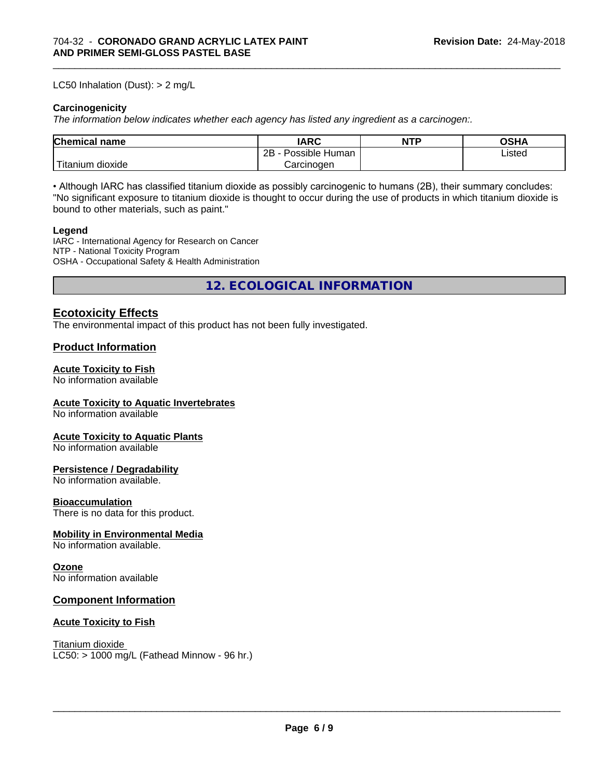#### LC50 Inhalation (Dust): > 2 mg/L

#### **Carcinogenicity**

*The information below indicateswhether each agency has listed any ingredient as a carcinogen:.*

| Chemical<br>`name      | <b>IARC</b>                  | <b>NTP</b> | <b>OSHA</b> |
|------------------------|------------------------------|------------|-------------|
|                        | .<br>2B<br>Human<br>Possible |            | ∟isted      |
| n dioxide<br>l itanıum | Carcinoɑen                   |            |             |

\_\_\_\_\_\_\_\_\_\_\_\_\_\_\_\_\_\_\_\_\_\_\_\_\_\_\_\_\_\_\_\_\_\_\_\_\_\_\_\_\_\_\_\_\_\_\_\_\_\_\_\_\_\_\_\_\_\_\_\_\_\_\_\_\_\_\_\_\_\_\_\_\_\_\_\_\_\_\_\_\_\_\_\_\_\_\_\_\_\_\_\_\_

• Although IARC has classified titanium dioxide as possibly carcinogenic to humans (2B), their summary concludes: "No significant exposure to titanium dioxide is thought to occur during the use of products in which titanium dioxide is bound to other materials, such as paint."

#### **Legend**

IARC - International Agency for Research on Cancer NTP - National Toxicity Program OSHA - Occupational Safety & Health Administration

**12. ECOLOGICAL INFORMATION**

#### **Ecotoxicity Effects**

The environmental impact of this product has not been fully investigated.

#### **Product Information**

#### **Acute Toxicity to Fish**

No information available

#### **Acute Toxicity to Aquatic Invertebrates**

No information available

#### **Acute Toxicity to Aquatic Plants**

No information available

#### **Persistence / Degradability**

No information available.

#### **Bioaccumulation**

There is no data for this product.

#### **Mobility in Environmental Media**

No information available.

#### **Ozone**

No information available

#### **Component Information**

#### **Acute Toxicity to Fish**

Titanium dioxide  $LC50: > 1000$  mg/L (Fathead Minnow - 96 hr.)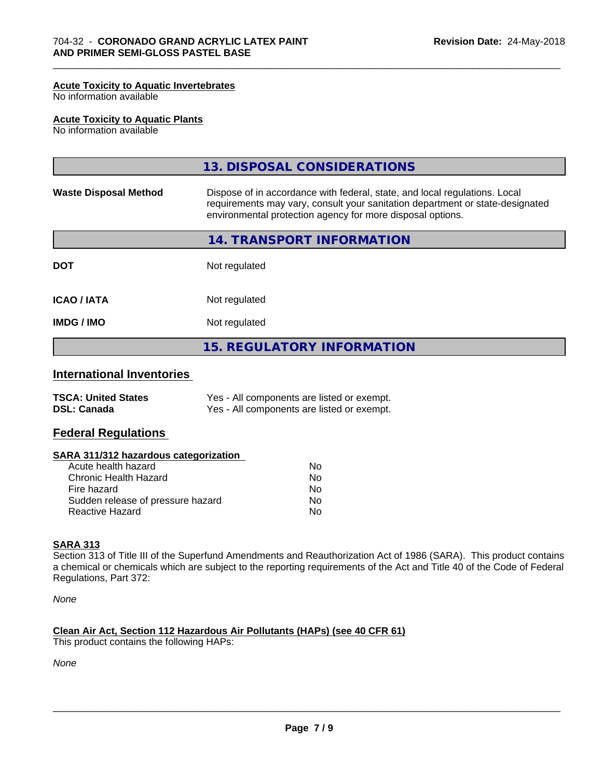#### **Acute Toxicity to Aquatic Invertebrates**

No information available

#### **Acute Toxicity to Aquatic Plants**

No information available

|                              | 13. DISPOSAL CONSIDERATIONS                                                                                                                                                                                               |
|------------------------------|---------------------------------------------------------------------------------------------------------------------------------------------------------------------------------------------------------------------------|
| <b>Waste Disposal Method</b> | Dispose of in accordance with federal, state, and local regulations. Local<br>requirements may vary, consult your sanitation department or state-designated<br>environmental protection agency for more disposal options. |
|                              | 14. TRANSPORT INFORMATION                                                                                                                                                                                                 |
| <b>DOT</b>                   | Not regulated                                                                                                                                                                                                             |
| <b>ICAO/IATA</b>             | Not regulated                                                                                                                                                                                                             |
| <b>IMDG/IMO</b>              | Not regulated                                                                                                                                                                                                             |
|                              | <b>15. REGULATORY INFORMATION</b>                                                                                                                                                                                         |

\_\_\_\_\_\_\_\_\_\_\_\_\_\_\_\_\_\_\_\_\_\_\_\_\_\_\_\_\_\_\_\_\_\_\_\_\_\_\_\_\_\_\_\_\_\_\_\_\_\_\_\_\_\_\_\_\_\_\_\_\_\_\_\_\_\_\_\_\_\_\_\_\_\_\_\_\_\_\_\_\_\_\_\_\_\_\_\_\_\_\_\_\_

## **International Inventories**

| <b>TSCA: United States</b> | Yes - All components are listed or exempt. |
|----------------------------|--------------------------------------------|
| <b>DSL: Canada</b>         | Yes - All components are listed or exempt. |

#### **Federal Regulations**

#### **SARA 311/312 hazardous categorization**

| Acute health hazard               | Nο |  |
|-----------------------------------|----|--|
| Chronic Health Hazard             | N٥ |  |
| Fire hazard                       | Nο |  |
| Sudden release of pressure hazard | Nο |  |
| Reactive Hazard                   | Nο |  |

#### **SARA 313**

Section 313 of Title III of the Superfund Amendments and Reauthorization Act of 1986 (SARA). This product contains a chemical or chemicals which are subject to the reporting requirements of the Act and Title 40 of the Code of Federal Regulations, Part 372:

*None*

#### **Clean Air Act,Section 112 Hazardous Air Pollutants (HAPs) (see 40 CFR 61)**

This product contains the following HAPs:

*None*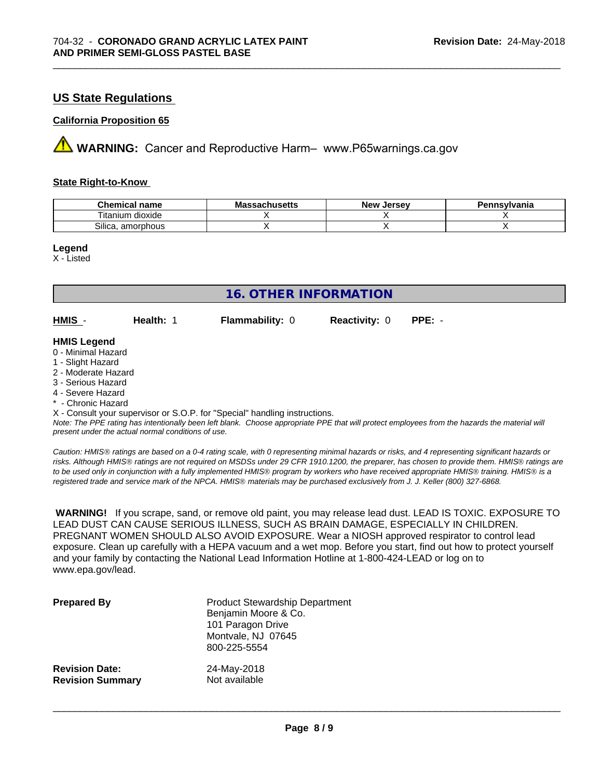### **US State Regulations**

#### **California Proposition 65**

**A** WARNING: Cancer and Reproductive Harm– www.P65warnings.ca.gov

#### **State Right-to-Know**

| Chemical<br>name                       | - -<br>3081100 <b>11</b> 0<br>IVIA<br>aunuscus | <b>Jerse</b> v<br><b>Nev</b> | าnsvlvania |
|----------------------------------------|------------------------------------------------|------------------------------|------------|
| $-$<br>.<br>dioxide<br>.um<br>. itanii |                                                |                              |            |
| Silica.<br>. amorphous                 |                                                |                              |            |

\_\_\_\_\_\_\_\_\_\_\_\_\_\_\_\_\_\_\_\_\_\_\_\_\_\_\_\_\_\_\_\_\_\_\_\_\_\_\_\_\_\_\_\_\_\_\_\_\_\_\_\_\_\_\_\_\_\_\_\_\_\_\_\_\_\_\_\_\_\_\_\_\_\_\_\_\_\_\_\_\_\_\_\_\_\_\_\_\_\_\_\_\_

#### **Legend**

X - Listed

| 16. OTHER INFORMATION                                                                                                                                                                                       |           |                                                                            |                      |                                                                                                                                               |
|-------------------------------------------------------------------------------------------------------------------------------------------------------------------------------------------------------------|-----------|----------------------------------------------------------------------------|----------------------|-----------------------------------------------------------------------------------------------------------------------------------------------|
| HMIS -                                                                                                                                                                                                      | Health: 1 | <b>Flammability: 0</b>                                                     | <b>Reactivity: 0</b> | $PPE: -$                                                                                                                                      |
| <b>HMIS Legend</b><br>0 - Minimal Hazard<br>1 - Slight Hazard<br>2 - Moderate Hazard<br>3 - Serious Hazard<br>4 - Severe Hazard<br>* - Chronic Hazard<br>present under the actual normal conditions of use. |           | X - Consult your supervisor or S.O.P. for "Special" handling instructions. |                      | Note: The PPE rating has intentionally been left blank. Choose appropriate PPE that will protect employees from the hazards the material will |

*Caution: HMISÒ ratings are based on a 0-4 rating scale, with 0 representing minimal hazards or risks, and 4 representing significant hazards or risks. Although HMISÒ ratings are not required on MSDSs under 29 CFR 1910.1200, the preparer, has chosen to provide them. HMISÒ ratings are to be used only in conjunction with a fully implemented HMISÒ program by workers who have received appropriate HMISÒ training. HMISÒ is a registered trade and service mark of the NPCA. HMISÒ materials may be purchased exclusively from J. J. Keller (800) 327-6868.*

 **WARNING!** If you scrape, sand, or remove old paint, you may release lead dust. LEAD IS TOXIC. EXPOSURE TO LEAD DUST CAN CAUSE SERIOUS ILLNESS, SUCH AS BRAIN DAMAGE, ESPECIALLY IN CHILDREN. PREGNANT WOMEN SHOULD ALSO AVOID EXPOSURE. Wear a NIOSH approved respirator to control lead exposure. Clean up carefully with a HEPA vacuum and a wet mop. Before you start, find out how to protect yourself and your family by contacting the National Lead Information Hotline at 1-800-424-LEAD or log on to www.epa.gov/lead.

| <b>Prepared By</b>      | <b>Product Stewardship Department</b><br>Benjamin Moore & Co.<br>101 Paragon Drive<br>Montvale, NJ 07645<br>800-225-5554 |
|-------------------------|--------------------------------------------------------------------------------------------------------------------------|
| <b>Revision Date:</b>   | 24-May-2018                                                                                                              |
| <b>Revision Summary</b> | Not available                                                                                                            |